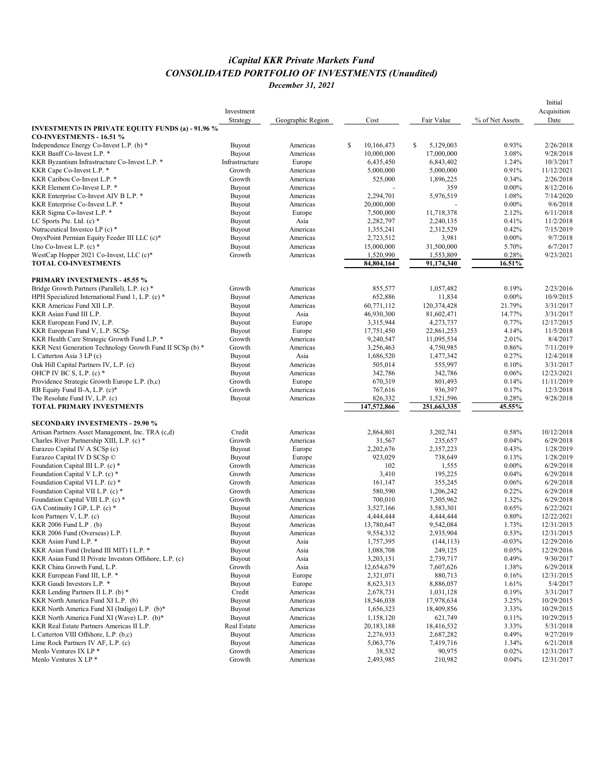## *iCapital KKR Private Markets Fund CONSOLIDATED PORTFOLIO OF INVESTMENTS (Unaudited) December 31, 2021*

|                                                                                             |                |                   |                  |        |             |                 | Initial     |
|---------------------------------------------------------------------------------------------|----------------|-------------------|------------------|--------|-------------|-----------------|-------------|
|                                                                                             | Investment     |                   |                  |        |             |                 | Acquisition |
|                                                                                             | Strategy       | Geographic Region | Cost             |        | Fair Value  | % of Net Assets | Date        |
| <b>INVESTMENTS IN PRIVATE EQUITY FUNDS (a) - 91.96 %</b>                                    |                |                   |                  |        |             |                 |             |
| CO-INVESTMENTS - 16.51 %<br>Independence Energy Co-Invest L.P. (b) *                        | <b>Buyout</b>  | Americas          | 10,166,473<br>\$ | \$     | 5,129,003   | 0.93%           | 2/26/2018   |
| KKR Banff Co-Invest L.P. *                                                                  | <b>Buyout</b>  | Americas          | 10,000,000       |        | 17,000,000  | 3.08%           | 9/28/2018   |
| KKR Byzantium Infrastructure Co-Invest L.P. *                                               | Infrastructure | Europe            | 6,435,450        |        | 6,843,402   | 1.24%           | 10/3/2017   |
| KKR Cape Co-Invest L.P. *                                                                   | Growth         | Americas          | 5,000,000        |        | 5,000,000   | 0.91%           | 11/12/2021  |
| KKR Caribou Co-Invest L.P. *                                                                | Growth         | Americas          | 525,000          |        | 1,896,225   | 0.34%           | 2/26/2018   |
| KKR Element Co-Invest L.P. *                                                                |                | Americas          |                  |        | 359         | $0.00\%$        | 8/12/2016   |
|                                                                                             | Buyout         | Americas          |                  |        |             |                 | 7/14/2020   |
| KKR Enterprise Co-Invest AIV B L.P. *                                                       | Buyout         |                   | 2,294,701        |        | 5,976,519   | 1.08%           | 9/6/2018    |
| KKR Enterprise Co-Invest L.P. *                                                             | Buyout         | Americas          | 20,000,000       |        |             | $0.00\%$        |             |
| KKR Sigma Co-Invest L.P. *                                                                  | Buyout         | Europe            | 7,500,000        |        | 11,718,378  | 2.12%           | 6/11/2018   |
| LC Sports Pte. Ltd. $(c)$ *                                                                 | Buyout         | Asia              | 2,282,797        |        | 2,240,135   | 0.41%           | 11/2/2018   |
| Nutraceutical Investco LP (c) *                                                             | Buyout         | Americas          | 1,355,241        |        | 2,312,529   | 0.42%           | 7/15/2019   |
| OnyxPoint Permian Equity Feeder III LLC (c)*                                                | Buyout         | Americas          | 2,723,512        |        | 3,981       | $0.00\%$        | 9/7/2018    |
| Uno Co-Invest L.P. $(c)$ *                                                                  | Buyout         | Americas          | 15,000,000       |        | 31,500,000  | 5.70%           | 6/7/2017    |
| WestCap Hopper 2021 Co-Invest, LLC (c)*                                                     | Growth         | Americas          | 1,520,990        |        | 1,553,809   | 0.28%           | 9/23/2021   |
| <b>TOTAL CO-INVESTMENTS</b>                                                                 |                |                   | 84,804,164       |        | 91,174,340  | 16.51%          |             |
| <b>PRIMARY INVESTMENTS - 45.55 %</b>                                                        |                |                   |                  |        |             |                 |             |
| Bridge Growth Partners (Parallel), L.P. (c) *                                               | Growth         | Americas          | 855,577          |        | 1,057,482   | 0.19%           | 2/23/2016   |
| HPH Specialized International Fund 1, L.P. (c) *                                            |                | Americas          | 652,886          |        | 11,834      | $0.00\%$        | 10/9/2015   |
|                                                                                             | Buyout         | Americas          | 60,771,112       |        | 120,374,428 | 21.79%          | 3/31/2017   |
| KKR Americas Fund XII L.P.                                                                  | Buyout         |                   |                  |        | 81,602,471  |                 |             |
| KKR Asian Fund III L.P.                                                                     | <b>Buyout</b>  | Asia              | 46,930,300       |        |             | 14.77%          | 3/31/2017   |
| KKR European Fund IV, L.P.                                                                  | Buyout         | Europe            | 3,315,944        |        | 4,273,737   | 0.77%           | 12/17/2015  |
| KKR European Fund V, L.P. SCSp                                                              | Buyout         | Europe            | 17,751,450       |        | 22,861,253  | 4.14%           | 11/5/2018   |
| KKR Health Care Strategic Growth Fund L.P. *                                                | Growth         | Americas          | 9,240,547        |        | 11,095,534  | 2.01%           | 8/4/2017    |
| KKR Next Generation Technology Growth Fund II SCSp (b) *                                    | Growth         | Americas          | 3,256,463        |        | 4,750,985   | 0.86%           | 7/11/2019   |
| L Catterton Asia 3 LP (c)                                                                   | Buyout         | Asia              | 1,686,520        |        | 1,477,342   | 0.27%           | 12/4/2018   |
| Oak Hill Capital Partners IV, L.P. (c)                                                      | Buyout         | Americas          | 505,014          |        | 555,997     | 0.10%           | 3/31/2017   |
| OHCP IV BC S, L.P. $(c)$ *                                                                  | Buyout         | Americas          | 342,786          |        | 342,786     | 0.06%           | 12/23/2021  |
| Providence Strategic Growth Europe L.P. (b,c)                                               | Growth         | Europe            | 670,319          |        | 801,493     | 0.14%           | 11/11/2019  |
| RB Equity Fund II-A, L.P. (c)*                                                              | Growth         | Americas          | 767,616          |        | 936,397     | 0.17%           | 12/3/2018   |
| The Resolute Fund IV, L.P. (c)                                                              | Buyout         | Americas          | 826,332          |        | 1,521,596   | 0.28%           | 9/28/2018   |
| <b>TOTAL PRIMARY INVESTMENTS</b>                                                            |                |                   | 147,572,866      |        | 251,663,335 | 45.55%          |             |
|                                                                                             |                |                   |                  |        |             |                 |             |
| <b>SECONDARY INVESTMENTS - 29.90 %</b><br>Artisan Partners Asset Management, Inc. TRA (c,d) | Credit         | Americas          | 2,864,801        |        | 3,202,741   | 0.58%           | 10/12/2018  |
|                                                                                             |                |                   |                  |        |             | 0.04%           | 6/29/2018   |
| Charles River Partnership XIII, L.P. (c) *                                                  | Growth         | Americas          |                  | 31,567 | 235,657     |                 |             |
| Eurazeo Capital IV A SCSp (c)                                                               | Buyout         | Europe            | 2,202,676        |        | 2,357,223   | 0.43%           | 1/28/2019   |
| Eurazeo Capital IV D SCSp ©                                                                 | Buyout         | Europe            | 923,029          |        | 738,649     | 0.13%           | 1/28/2019   |
| Foundation Capital III L.P. (c) *                                                           | Growth         | Americas          |                  | 102    | 1,555       | $0.00\%$        | 6/29/2018   |
| Foundation Capital V L.P. (c) *                                                             | Growth         | Americas          |                  | 3,410  | 195,225     | 0.04%           | 6/29/2018   |
| Foundation Capital VI L.P. (c) *                                                            | Growth         | Americas          | 161,147          |        | 355,245     | 0.06%           | 6/29/2018   |
| Foundation Capital VII L.P. (c) *                                                           | Growth         | Americas          | 580,590          |        | 1,206,242   | 0.22%           | 6/29/2018   |
| Foundation Capital VIII L.P. (c) *                                                          | Growth         | Americas          | 700,010          |        | 7,305,962   | 1.32%           | 6/29/2018   |
| GA Continuity I GP, L.P. (c) *                                                              | Buyout         | Americas          | 3,527,166        |        | 3,583,301   | 0.65%           | 6/22/2021   |
| Icon Partners V, L.P. (c)                                                                   | Buyout         | Americas          | 4,444,444        |        | 4,444,444   | 0.80%           | 12/22/2021  |
| KKR 2006 Fund L.P. (b)                                                                      | <b>Buyout</b>  | Americas          | 13,780,647       |        | 9,542,084   | 1.73%           | 12/31/2015  |
| KKR 2006 Fund (Overseas) L.P.                                                               | Buyout         | Americas          | 9,554,332        |        | 2,935,904   | 0.53%           | 12/31/2015  |
| KKR Asian Fund L.P. *                                                                       | Buyout         | Asia              | 1,757,395        |        | (144, 113)  | $-0.03%$        | 12/29/2016  |
| KKR Asian Fund (Ireland III MIT) I L.P. *                                                   | Buyout         | Asia              | 1,088,708        |        | 249,125     | 0.05%           | 12/29/2016  |
| KKR Asian Fund II Private Investors Offshore, L.P. (c)                                      | Buyout         | Asia              | 3,203,151        |        | 2,739,717   | 0.49%           | 9/30/2017   |
| KKR China Growth Fund, L.P.                                                                 | Growth         | Asia              | 12,654,679       |        | 7,607,626   | 1.38%           | 6/29/2018   |
| KKR European Fund III, L.P. *                                                               | Buyout         | Europe            | 2,321,071        |        | 880,713     | 0.16%           | 12/31/2015  |
| KKR Gaudi Investors L.P. *                                                                  | Buyout         | Europe            | 8,623,313        |        | 8,886,057   | 1.61%           | 5/4/2017    |
| KKR Lending Partners II L.P. (b) *                                                          | Credit         | Americas          | 2,678,731        |        | 1,031,128   | 0.19%           | 3/31/2017   |
| KKR North America Fund XI L.P. (b)                                                          | Buyout         | Americas          | 18,546,038       |        | 17,978,634  | 3.25%           | 10/29/2015  |
| KKR North America Fund XI (Indigo) L.P. (b)*                                                | Buyout         | Americas          | 1,656,323        |        | 18,409,856  | 3.33%           | 10/29/2015  |
| KKR North America Fund XI (Wave) L.P. (b)*                                                  | Buyout         | Americas          | 1,158,120        |        | 621,749     | 0.11%           | 10/29/2015  |
| KKR Real Estate Partners Americas II L.P.                                                   | Real Estate    | Americas          | 20, 183, 188     |        | 18,416,532  | 3.33%           | 5/31/2018   |
| L Catterton VIII Offshore, L.P. (b,c)                                                       | Buyout         | Americas          | 2,276,933        |        | 2,687,282   | 0.49%           | 9/27/2019   |
| Lime Rock Partners IV AF, L.P. (c)                                                          | Buyout         | Americas          | 5,063,776        |        | 7,419,716   | 1.34%           | 6/21/2018   |
| Menlo Ventures IX LP *                                                                      | Growth         | Americas          |                  | 38,532 | 90,975      | 0.02%           | 12/31/2017  |
| Menlo Ventures X LP *                                                                       | Growth         | Americas          | 2,493,985        |        | 210,982     | 0.04%           | 12/31/2017  |
|                                                                                             |                |                   |                  |        |             |                 |             |